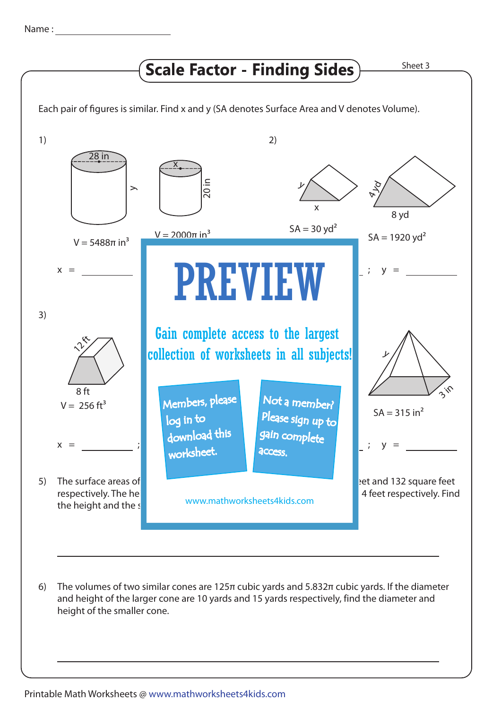